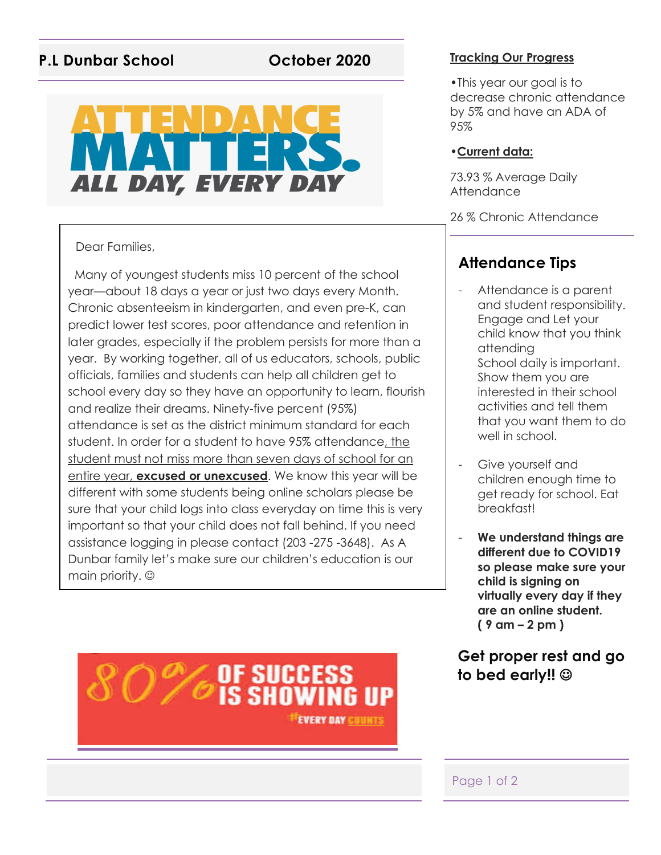# **P.L Dunbar School October 2020 Tracking Our Progress**

# ALL DAY, EVERY DAY

### Dear Families,

 Many of youngest students miss 10 percent of the school year—about 18 days a year or just two days every Month. Chronic absenteeism in kindergarten, and even pre-K, can predict lower test scores, poor attendance and retention in later grades, especially if the problem persists for more than a year. By working together, all of us educators, schools, public officials, families and students can help all children get to school every day so they have an opportunity to learn, flourish and realize their dreams. Ninety-five percent (95%) attendance is set as the district minimum standard for each student. In order for a student to have 95% attendance, the student must not miss more than seven days of school for an entire year, **excused or unexcused**. We know this year will be different with some students being online scholars please be sure that your child logs into class everyday on time this is very important so that your child does not fall behind. If you need assistance logging in please contact (203 -275 -3648). As A Dunbar family let's make sure our children's education is our main priority.  $\odot$ 

•This year our goal is to decrease chronic attendance by 5% and have an ADA of 95%

#### •**Current data:**

73.93 % Average Daily **Attendance** 

26 % Chronic Attendance

# **Attendance Tips**

- Attendance is a parent and student responsibility. Engage and Let your child know that you think attending School daily is important. Show them you are interested in their school activities and tell them that you want them to do well in school.
- Give yourself and children enough time to get ready for school. Eat breakfast!
- **We understand things are different due to COVID19 so please make sure your child is signing on virtually every day if they are an online student. ( 9 am – 2 pm )**

# **Get proper rest and go**  to bed early!!  $\circledcirc$



Page 1 of 2